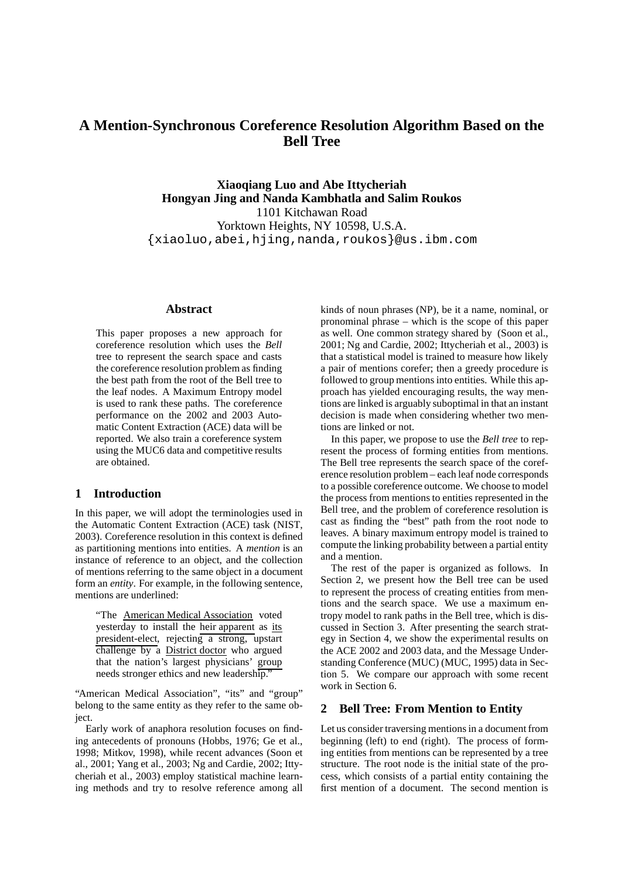# **A Mention-Synchronous Coreference Resolution Algorithm Based on the Bell Tree**

**Xiaoqiang Luo and Abe Ittycheriah Hongyan Jing and Nanda Kambhatla and Salim Roukos** 1101 Kitchawan Road Yorktown Heights, NY 10598, U.S.A. {xiaoluo,abei,hjing,nanda,roukos}@us.ibm.com

# **Abstract**

This paper proposes a new approach for coreference resolution which uses the *Bell* tree to represent the search space and casts the coreference resolution problem as finding the best path from the root of the Bell tree to the leaf nodes. A Maximum Entropy model is used to rank these paths. The coreference performance on the 2002 and 2003 Automatic Content Extraction (ACE) data will be reported. We also train a coreference system using the MUC6 data and competitive results are obtained.

# **1 Introduction**

In this paper, we will adopt the terminologies used in the Automatic Content Extraction (ACE) task (NIST, 2003). Coreference resolution in this context is defined as partitioning mentions into entities. A *mention* is an instance of reference to an object, and the collection of mentions referring to the same object in a document form an *entity*. For example, in the following sentence, mentions are underlined:

"The American Medical Association voted yesterday to install the heir apparent as its president-elect, rejecting a strong, upstart challenge by a District doctor who argued that the nation's largest physicians' group needs stronger ethics and new leadership."

"American Medical Association", "its" and "group" belong to the same entity as they refer to the same object.

Early work of anaphora resolution focuses on finding antecedents of pronouns (Hobbs, 1976; Ge et al., 1998; Mitkov, 1998), while recent advances (Soon et al., 2001; Yang et al., 2003; Ng and Cardie, 2002; Ittycheriah et al., 2003) employ statistical machine learning methods and try to resolve reference among all

kinds of noun phrases (NP), be it a name, nominal, or pronominal phrase – which is the scope of this paper as well. One common strategy shared by (Soon et al., 2001; Ng and Cardie, 2002; Ittycheriah et al., 2003) is that a statistical model is trained to measure how likely a pair of mentions corefer; then a greedy procedure is followed to group mentions into entities. While this approach has yielded encouraging results, the way mentions are linked is arguably suboptimal in that an instant decision is made when considering whether two mentions are linked or not.

In this paper, we propose to use the *Bell tree* to represent the process of forming entities from mentions. The Bell tree represents the search space of the coreference resolution problem – each leaf node corresponds to a possible coreference outcome. We choose to model the process from mentions to entities represented in the Bell tree, and the problem of coreference resolution is cast as finding the "best" path from the root node to leaves. A binary maximum entropy model is trained to compute the linking probability between a partial entity and a mention.

The rest of the paper is organized as follows. In Section 2, we present how the Bell tree can be used to represent the process of creating entities from mentions and the search space. We use a maximum entropy model to rank paths in the Bell tree, which is discussed in Section 3. After presenting the search strategy in Section 4, we show the experimental results on the ACE 2002 and 2003 data, and the Message Understanding Conference (MUC) (MUC, 1995) data in Section 5. We compare our approach with some recent work in Section 6.

# **2 Bell Tree: From Mention to Entity**

Let us consider traversing mentions in a document from beginning (left) to end (right). The process of forming entities from mentions can be represented by a tree structure. The root node is the initial state of the process, which consists of a partial entity containing the first mention of a document. The second mention is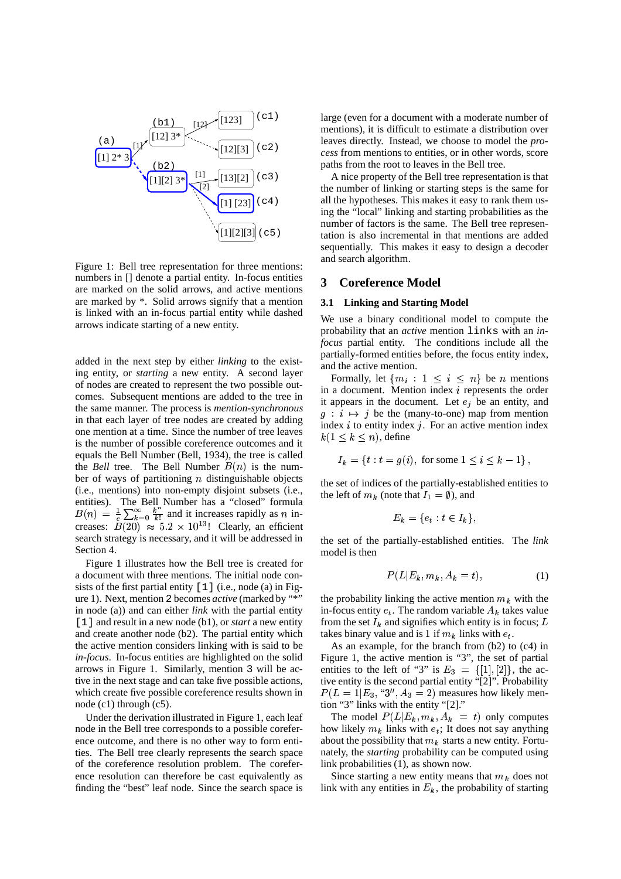

Figure 1: Bell tree representation for three mentions: numbers in [] denote a partial entity. In-focus entities are marked on the solid arrows, and active mentions are marked by \*. Solid arrows signify that a mention is linked with an in-focus partial entity while dashed arrows indicate starting of a new entity.

added in the next step by either *linking* to the existing entity, or *starting* a new entity. A second layer of nodes are created to represent the two possible outcomes. Subsequent mentions are added to the tree in the same manner. The process is *mention-synchronous* in that each layer of tree nodes are created by adding one mention at a time. Since the number of tree leaves is the number of possible coreference outcomes and it equals the Bell Number (Bell, 1934), the tree is called the *Bell* tree. The Bell Number  $B(n)$  is the number of ways of partitioning  $n$  distinguishable objects (i.e., mentions) into non-empty disjoint subsets (i.e., entities). The Bell Number has a "closed" formula<br>  $B(n) = \frac{1}{e} \sum_{k=0}^{\infty} \frac{k^n}{k!}$  and it increases rapidly as *n* increases:  $B(20) \approx 5.2 \times 10^{13}$ ! Clearly, an efficient search strategy is necessary, and it will be addressed in Section 4.

Figure 1 illustrates how the Bell tree is created for a document with three mentions. The initial node consists of the first partial entity [1] (i.e., node (a) in Figure 1). Next, mention 2 becomes *active* (marked by "\*" in node (a)) and can either *link* with the partial entity [1] and result in a new node (b1), or *start* a new entity and create another node (b2). The partial entity which the active mention considers linking with is said to be *in-focus*. In-focus entities are highlighted on the solid arrows in Figure 1. Similarly, mention 3 will be active in the next stage and can take five possible actions, which create five possible coreference results shown in node (c1) through (c5).

Under the derivation illustrated in Figure 1, each leaf node in the Bell tree corresponds to a possible coreference outcome, and there is no other way to form entities. The Bell tree clearly represents the search space of the coreference resolution problem. The coreference resolution can therefore be cast equivalently as finding the "best" leaf node. Since the search space is

large (even for a document with a moderate number of mentions), it is difficult to estimate a distribution over leaves directly. Instead, we choose to model the *process* from mentions to entities, or in other words, score paths from the root to leaves in the Bell tree.

A nice property of the Bell tree representation is that the number of linking or starting steps is the same for all the hypotheses. This makes it easy to rank them using the "local" linking and starting probabilities as the number of factors is the same. The Bell tree representation is also incremental in that mentions are added sequentially. This makes it easy to design a decoder and search algorithm.

# **3 Coreference Model**

# **3.1 Linking and Starting Model**

We use a binary conditional model to compute the probability that an *active* mention links with an *infocus* partial entity. The conditions include all the partially-formed entities before, the focus entity index, and the active mention.

Formally, let  $\{m_i: 1 \leq i \leq n\}$  be *n* mentions in a document. Mention index  $i$  represents the order it appears in the document. Let  $e_i$  be an entity, and  $g: i \mapsto j$  be the (many-to-one) map from mention index  $i$  to entity index  $j$ . For an active mention index  $k(1 \leq k \leq n)$ , define

$$
I_k = \{ t : t = g(i), \text{ for some } 1 \le i \le k - 1 \},
$$

the set of indices of the partially-established entities to the left of  $m_k$  (note that  $I_1 = \emptyset$ ), and

$$
E_k = \{e_t : t \in I_k\},\
$$

the set of the partially-established entities. The *link* model is then

$$
P(L|E_k, m_k, A_k = t), \tag{1}
$$

the probability linking the active mention  $m_k$  with the in-focus entity  $e_t$ . The random variable  $A_k$  takes value from the set  $I_k$  and signifies which entity is in focus; L takes binary value and is 1 if  $m_k$  links with  $e_t$ .

As an example, for the branch from (b2) to (c4) in Figure 1, the active mention is "3", the set of partial entities to the left of "3" is  $E_3 = \{ [1], [2] \}$ , the active entity is the second partial entity "[2]". Probability  $P(L = 1|E_3, "3", A_3 = 2)$  measures how likely mention "3" links with the entity "[2]."

The model  $P(L|E_k, m_k, A_k = t)$  only computes how likely  $m_k$  links with  $e_t$ ; It does not say anything about the possibility that  $m_k$  starts a new entity. Fortunately, the *starting* probability can be computed using link probabilities (1), as shown now.

Since starting a new entity means that  $m_k$  does not link with any entities in  $E_k$ , the probability of starting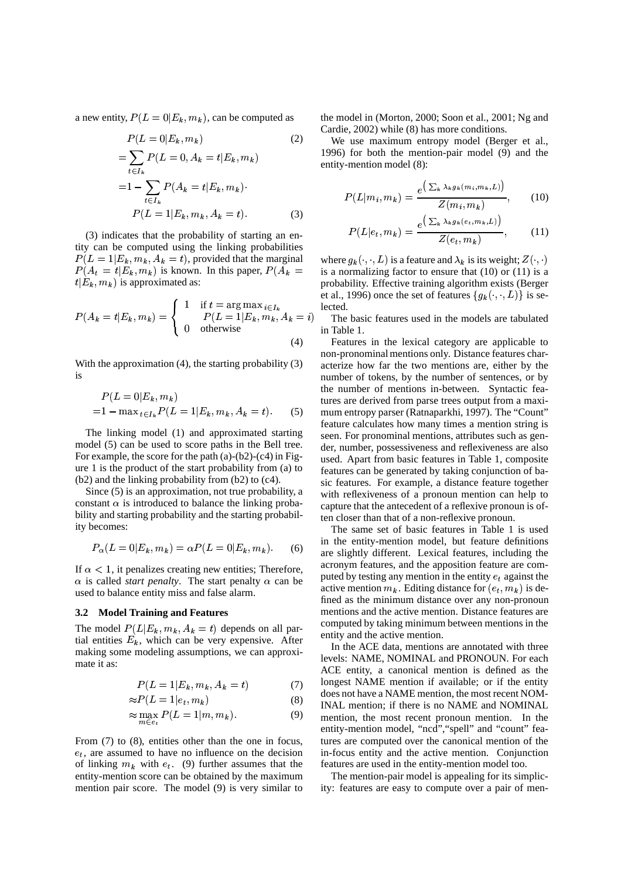a new entity,  $P(L = 0|E_k, m_k)$ , can be computed as

STUDIES AND RESIDENCE AND RESIDENCE AND RESIDENCE AND RESIDENCE AND RESIDENCE AND RESIDENCE AND RESIDENCE AND

$$
P(L = 0|E_k, m_k)
$$
\n
$$
= \sum_{t \in I_k} P(L = 0, A_k = t|E_k, m_k)
$$
\n
$$
= 1 - \sum_{t \in I_k} P(A_k = t|E_k, m_k)
$$
\n
$$
P(L = 1|E_k, m_k, A_k = t).
$$
\n(3)

(3) indicates that the probability of starting an entity can be computed using the linking probabilities  $P(L = 1 | E_k, m_k, A_k = t)$ , provid  $k, A_k = t$ , provided that the marginal  $P(A_t = t | E_k, m_k)$  is known. In the k) is known. In this paper,  $P(A_k =$  is a normal  $t|E_k, m_k$ ) is approximated  $_{k}$ ) is approximated as:

$$
P(A_k = t | E_k, m_k) = \begin{cases} 1 & \text{if } t = \arg \max_{i \in I_k} \\ P(L = 1 | E_k, m_k, A_k = i) & \text{if } T \\ 0 & \text{otherwise} \end{cases}
$$
\n(4)

With the approximation (4), the starting probability (3) is

$$
P(L = 0|E_k, m_k)
$$
  
=1 - max<sub>t\in I\_k</sub>  $P(L = 1|E_k, m_k, A_k = t)$ . (5)

The linking model (1) and approximated starting model (5) can be used to score paths in the Bell tree. For example, the score for the path  $(a)-(b2)-(c4)$  in Figure 1 is the product of the start probability from (a) to (b2) and the linking probability from (b2) to (c4).

Since (5) is an approximation, not true probability, a constant  $\alpha$  is introduced to balance the linking probability and starting probability and the starting probability becomes:

$$
P_{\alpha}(L=0|E_k, m_k) = \alpha P(L=0|E_k, m_k).
$$
 (6)

If  $\alpha$  < 1, it penalizes creating new entities; Therefore,  $\alpha$  is called *start penalty*. The start penalty  $\alpha$  can be used to balance entity miss and false alarm.

# **3.2 Model Training and Features**

The model  $P(L|E_k, m_k, A_k = t)$  depends on all partial entities  $E_k$ , which can be very expensive. After making some modeling assumptions, we can approximate it as:

$$
P(L = 1 | E_k, m_k, A_k = t)
$$
\n<sup>(7)</sup>

$$
\approx P(L=1|e_t, m_k) \tag{8}
$$

$$
\approx \max_{m \in e_t} P(L = 1 | m, m_k). \tag{9}
$$

From (7) to (8), entities other than the one in focus,  $e_t$ , are assumed to have no influence on the decision of linking  $m_k$  with  $e_t$ . (9) further assumes that the entity-mention score can be obtained by the maximum mention pair score. The model (9) is very similar to

the model in (Morton, 2000; Soon et al., 2001; Ng and Cardie, 2002) while (8) has more conditions.

We use maximum entropy model (Berger et al., 1996) for both the mention-pair model (9) and the entity-mention model (8):

$$
P(L|m_i, m_k) = \frac{e^{\left(\sum_k \lambda_k g_k(m_i, m_k, L)\right)}}{Z(m_i, m_k)},\qquad(10)
$$

$$
P(L|e_t, m_k) = \frac{e^{\left(\sum_k \lambda_k g_k(e_t, m_k, L)\right)}}{Z(e_t, m_k)},\tag{11}
$$

where  $g_k(\cdot, \cdot, L)$  is a feature and  $\lambda_k$  is its weight;  $Z(\cdot, \cdot)$ is a normalizing factor to ensure that (10) or (11) is a probability. Effective training algorithm exists (Berger et al., 1996) once the set of features  $\{g_k(\cdot, \cdot, L)\}\)$  is selected.

 $m_k$ ,  $A_k = i$ ) The basic features used in the models are tabulated in Table 1.

> Features in the lexical category are applicable to non-pronominal mentions only. Distance features characterize how far the two mentions are, either by the number of tokens, by the number of sentences, or by the number of mentions in-between. Syntactic features are derived from parse trees output from a maximum entropy parser (Ratnaparkhi, 1997). The "Count" feature calculates how many times a mention string is seen. For pronominal mentions, attributes such as gender, number, possessiveness and reflexiveness are also used. Apart from basic features in Table 1, composite features can be generated by taking conjunction of basic features. For example, a distance feature together with reflexiveness of a pronoun mention can help to capture that the antecedent of a reflexive pronoun is often closer than that of a non-reflexive pronoun.

The same set of basic features in Table 1 is used in the entity-mention model, but feature definitions are slightly different. Lexical features, including the acronym features, and the apposition feature are computed by testing any mention in the entity  $e_t$  against the active mention  $m_k$ . Editing distance for  $(e_t, m_k)$  is de- $_{k}$ ) is defined as the minimum distance over any non-pronoun mentions and the active mention. Distance features are computed by taking minimum between mentions in the entity and the active mention.

In the ACE data, mentions are annotated with three levels: NAME, NOMINAL and PRONOUN. For each ACE entity, a canonical mention is defined as the longest NAME mention if available; or if the entity does not have a NAME mention, the most recent NOM-INAL mention; if there is no NAME and NOMINAL mention, the most recent pronoun mention. In the entity-mention model, "ncd","spell" and "count" features are computed over the canonical mention of the in-focus entity and the active mention. Conjunction features are used in the entity-mention model too.

The mention-pair model is appealing for its simplicity: features are easy to compute over a pair of men-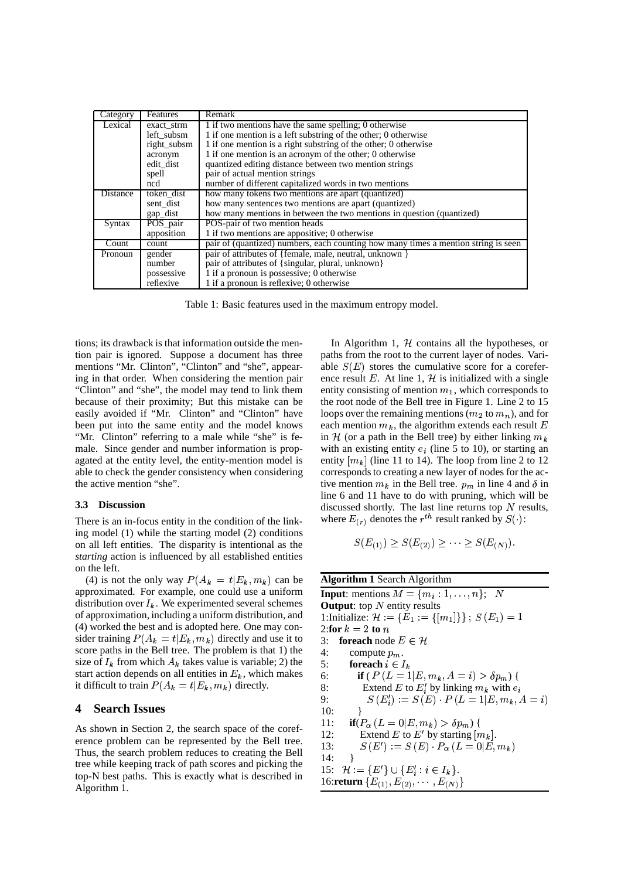| Category | Features    | Remark                                                                             |  |  |  |
|----------|-------------|------------------------------------------------------------------------------------|--|--|--|
| Lexical  | exact strm  | 1 if two mentions have the same spelling; 0 otherwise                              |  |  |  |
|          | left subsm  | 1 if one mention is a left substring of the other; 0 otherwise                     |  |  |  |
|          | right subsm | 1 if one mention is a right substring of the other; 0 otherwise                    |  |  |  |
|          | acronym     | 1 if one mention is an acronym of the other; 0 otherwise                           |  |  |  |
|          | edit dist   | quantized editing distance between two mention strings                             |  |  |  |
|          | spell       | pair of actual mention strings                                                     |  |  |  |
|          | ncd         | number of different capitalized words in two mentions                              |  |  |  |
| Distance | token dist  | how many tokens two mentions are apart (quantized)                                 |  |  |  |
|          | sent dist   | how many sentences two mentions are apart (quantized)                              |  |  |  |
|          | gap_dist    | how many mentions in between the two mentions in question (quantized)              |  |  |  |
| Syntax   | POS_pair    | POS-pair of two mention heads                                                      |  |  |  |
|          | apposition  | 1 if two mentions are appositive; 0 otherwise                                      |  |  |  |
| Count    | count       | pair of (quantized) numbers, each counting how many times a mention string is seen |  |  |  |
| Pronoun  | gender      | pair of attributes of {female, male, neutral, unknown }                            |  |  |  |
|          | number      | pair of attributes of {singular, plural, unknown}                                  |  |  |  |
|          | possessive  | 1 if a pronoun is possessive; 0 otherwise                                          |  |  |  |
|          | reflexive   | 1 if a pronoun is reflexive; 0 otherwise                                           |  |  |  |

Table 1: Basic features used in the maximum entropy model.

tions; its drawback is that information outside the mention pair is ignored. Suppose a document has three mentions "Mr. Clinton", "Clinton" and "she", appearing in that order. When considering the mention pair "Clinton" and "she", the model may tend to link them because of their proximity; But this mistake can be easily avoided if "Mr. Clinton" and "Clinton" have been put into the same entity and the model knows "Mr. Clinton" referring to a male while "she" is female. Since gender and number information is propagated at the entity level, the entity-mention model is able to check the gender consistency when considering the active mention "she".

#### **3.3 Discussion**

There is an in-focus entity in the condition of the linking model (1) while the starting model (2) conditions on all left entities. The disparity is intentional as the *starting* action is influenced by all established entities on the left.

(4) is not the only way  $P(A_k = t | E_k, m_k)$  can be **Alge**  $_{k}$ ) can be approximated. For example, one could use a uniform distribution over  $I_k$ . We experimented several schemes of approximation, including a uniform distribution, and (4) worked the best and is adopted here. One may consider training  $P(A_k = t | E_k, m_k)$  directly and use  $_{k}$ ) directly and use it to score paths in the Bell tree. The problem is that 1) the size of  $I_k$  from which  $A_k$  takes value is variable; 2) the start action depends on all entities in  $E_k$ , which makes it difficult to train  $P(A_k = t | E_k, m_k)$  directly.  $_{k}$ ) directly.

### **4 Search Issues**

As shown in Section 2, the search space of the coreference problem can be represented by the Bell tree. Thus, the search problem reduces to creating the Bell tree while keeping track of path scores and picking the top-N best paths. This is exactly what is described in Algorithm 1.

In Algorithm 1,  $H$  contains all the hypotheses, or paths from the root to the current layer of nodes. Variable  $S(E)$  stores the cumulative score for a coreference result E. At line 1, H is initialized with a single entity consisting of mention  $m_1$ , which corresponds to the root node of the Bell tree in Figure 1. Line 2 to 15 loops over the remaining mentions ( $m_2$  to  $m_n$ ), and for each mention  $m_k$ , the algorithm extends each result E in  $H$  (or a path in the Bell tree) by either linking  $m_k$ with an existing entity  $e_i$  (line 5 to 10), or starting an entity  $[m_k]$  (line 11 to 14). The loop from line 2 to 12 corresponds to creating a new layer of nodes for the active mention  $m_k$  in the Bell tree.  $p_m$  in line 4 and  $\delta$  in line 6 and 11 have to do with pruning, which will be discussed shortly. The last line returns top  $N$  results, where  $E_{(r)}$  denotes the  $r^{th}$  result ranked by  $S(\cdot)$ :

$$
S(E_{(1)}) \ge S(E_{(2)}) \ge \cdots \ge S(E_{(N)}).
$$

**Algorithm 1** Search Algorithm **Input**: mentions  $M = \{m_i:1,\ldots,n\};\;N$ **Output**: top  $N$  entity results 1: Initialize:  $\mathcal{H} := \{E_1 := \{|m_1|\}\}\; ; \; S(E_1) = 1$ 2:**for**  $k = 2$  **to**  $n$ 3: **foreach** node  $E \in \mathcal{H}$ 4: compute  $p_m$ . 5: **for each**  $i \in I_k$ 6: **if** (  $P(L = 1 | E, m_k, A = i) > \delta p_m$ ) { 8: Extend E to  $E'_i$  by linking  $m_k$  with  $e_i$ 9:  $S(E_i') := S(E) \cdot P(L = 1 | E, m_k, A = i)$ Gdy 16 (1991) and 1992 and 1993 and 1993 and 1994 and 1994 and 1994 and 1994 and  $10:$ 11: **if**( $P_{\alpha}$  ( $L = 0 | E, m_k$ )  $> \delta p_m$ ) { 12: Extend E to E' by starting  $[m_k]$ . 13:  $S(E') := S(E) \cdot P_{\alpha}(L=0|E,m_k)$ the New York Control of the Con-14: } 15:  $\mathcal{H} := \{E'\} \cup \{E'_i : i \in I_k\}.$ 16: **return**  $\{E_{(1)}, E_{(2)}, \cdots, E_{(N)}\}$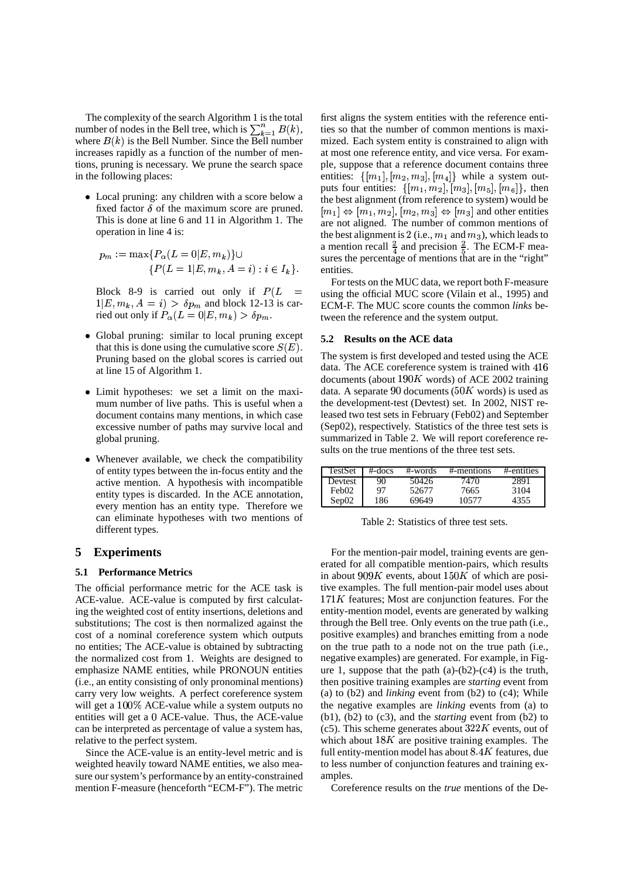The complexity of the search Algorithm 1 is the total number of nodes in the Bell tree, which is  $\sum_{k=1}^{n} B(k)$ , ties so t where  $B(k)$  is the Bell Number. Since the Bell number increases rapidly as a function of the number of mentions, pruning is necessary. We prune the search space in the following places:

 Local pruning: any children with a score below a fixed factor  $\delta$  of the maximum score are pruned. This is done at line 6 and 11 in Algorithm 1. The operation in line 4 is:

$$
p_m := \max\{P_{\alpha}(L=0|E, m_k)\} \cup \{P(L=1|E, m_k, A=i) : i \in I_k\}.
$$

Block 8-9 is carried out only if  $P(L =$  $1|E, m_k, A = i\rangle > \delta p_m$  $(k, A = i) > \delta p_m$  and block 12-13 is carried out only if  $P_\alpha(L=0|E,m_k) > \delta p_m$ .

- Global pruning: similar to local pruning except that this is done using the cumulative score  $S(E)$ . Pruning based on the global scores is carried out at line 15 of Algorithm 1.
- Limit hypotheses: we set a limit on the maximum number of live paths. This is useful when a document contains many mentions, in which case excessive number of paths may survive local and global pruning.
- Whenever available, we check the compatibility of entity types between the in-focus entity and the active mention. A hypothesis with incompatible entity types is discarded. In the ACE annotation, every mention has an entity type. Therefore we can eliminate hypotheses with two mentions of different types.

# **5 Experiments**

#### **5.1 Performance Metrics**

The official performance metric for the ACE task is ACE-value. ACE-value is computed by first calculating the weighted cost of entity insertions, deletions and substitutions; The cost is then normalized against the cost of a nominal coreference system which outputs no entities; The ACE-value is obtained by subtracting the normalized cost from 1. Weights are designed to emphasize NAME entities, while PRONOUN entities (i.e., an entity consisting of only pronominal mentions) carry very low weights. A perfect coreference system will get a  $100\%$  ACE-value while a system outputs no entities will get a ACE-value. Thus, the ACE-value can be interpreted as percentage of value a system has, relative to the perfect system.

Since the ACE-value is an entity-level metric and is weighted heavily toward NAME entities, we also measure our system's performance by an entity-constrained mention F-measure (henceforth "ECM-F"). The metric

first aligns the system entities with the reference entities so that the number of common mentions is maximized. Each system entity is constrained to align with at most one reference entity, and vice versa. For example, suppose that a reference document contains three entities:  $\{[m_1], [m_2, m_3], [m_4]\}$  while a system outputs four entities:  $\{[m_1, m_2], [m_3], [m_5], [m_6]\},\$  then the best alignment (from reference to system) would be  $[m_1] \Leftrightarrow [m_1, m_2], [m_2, m_3] \Leftrightarrow [m_3]$  and other entities are not aligned. The number of common mentions of the best alignment is 2 (i.e.,  $m_1$  and  $m_3$ ), which leads to a mention recall  $\frac{2}{4}$  and precision  $\frac{2}{5}$ . The ECM-F measures the percentage of mentions that are in the "right" entities.

For tests on the MUC data, we report both F-measure using the official MUC score (Vilain et al., 1995) and ECM-F. The MUC score counts the common *links* between the reference and the system output.

### **5.2 Results on the ACE data**

The system is first developed and tested using the ACE data. The ACE coreference system is trained with 416 documents (about  $190K$  words) of ACE 2002 training data. A separate 90 documents ( $50K$  words) is used as the development-test (Devtest) set. In 2002, NIST released two test sets in February (Feb02) and September (Sep02), respectively. Statistics of the three test sets is summarized in Table 2. We will report coreference results on the true mentions of the three test sets.

| TestSet           | $#$ -docs | #-words | #-mentions | #-entities |
|-------------------|-----------|---------|------------|------------|
| Devtest           | 90        | 50426   | 7470       | 2891       |
| Feb <sub>02</sub> | 97        | 52677   | 7665       | 3104       |
| Sep02             | 186       | 69649   | 10577      | 4355       |

Table 2: Statistics of three test sets.

For the mention-pair model, training events are generated for all compatible mention-pairs, which results in about  $909K$  events, about  $150K$  of which are positive examples. The full mention-pair model uses about  $171K$  features; Most are conjunction features. For the entity-mention model, events are generated by walking through the Bell tree. Only events on the true path (i.e., positive examples) and branches emitting from a node on the true path to a node not on the true path (i.e., negative examples) are generated. For example, in Figure 1, suppose that the path  $(a)-(b2)-(c4)$  is the truth, then positive training examples are *starting* event from (a) to (b2) and *linking* event from (b2) to (c4); While the negative examples are *linking* events from (a) to (b1), (b2) to (c3), and the *starting* event from (b2) to (c5). This scheme generates about  $322K$  events, out of which about  $18K$  are positive training examples. The full entity-mention model has about  $8.4K$  features, due to less number of conjunction features and training examples.

Coreference results on the *true* mentions of the De-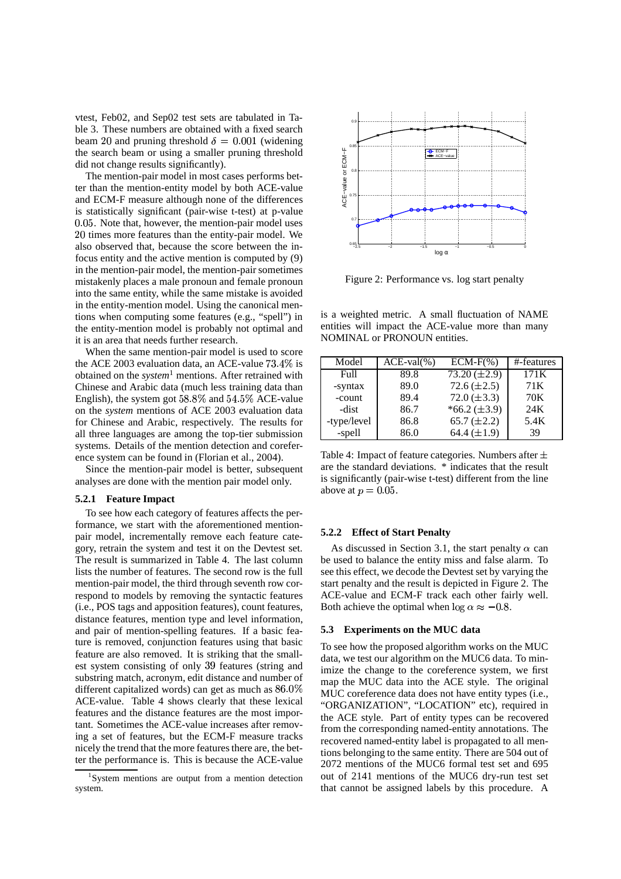vtest, Feb02, and Sep02 test sets are tabulated in Table 3. These numbers are obtained with a fixed search beam 20 and pruning threshold  $\delta = 0.001$  (widening the search beam or using a smaller pruning threshold did not change results significantly).

The mention-pair model in most cases performs better than the mention-entity model by both ACE-value and ECM-F measure although none of the differences is statistically significant (pair-wise t-test) at p-value 0.05. Note that, however, the mention-pair model uses 20 times more features than the entity-pair model. We also observed that, because the score between the infocus entity and the active mention is computed by (9) in the mention-pair model, the mention-pair sometimes mistakenly places a male pronoun and female pronoun into the same entity, while the same mistake is avoided in the entity-mention model. Using the canonical mentions when computing some features (e.g., "spell") in the entity-mention model is probably not optimal and it is an area that needs further research.

When the same mention-pair model is used to score the ACE 2003 evaluation data, an ACE-value  $73.4\%$  is  $\qquad \qquad$  Mode obtained on the *system*<sup>1</sup> mentions. After retrained with Chinese and Arabic data (much less training data than English), the system got  $58.8\%$  and  $54.5\%$  ACE-value on the *system* mentions of ACE 2003 evaluation data for Chinese and Arabic, respectively. The results for all three languages are among the top-tier submission systems. Details of the mention detection and coreference system can be found in (Florian et al., 2004).

Since the mention-pair model is better, subsequent analyses are done with the mention pair model only.

#### **5.2.1 Feature Impact**

To see how each category of features affects the performance, we start with the aforementioned mentionpair model, incrementally remove each feature category, retrain the system and test it on the Devtest set. The result is summarized in Table 4. The last column lists the number of features. The second row is the full mention-pair model, the third through seventh row correspond to models by removing the syntactic features (i.e., POS tags and apposition features), count features, distance features, mention type and level information, and pair of mention-spelling features. If a basic feature is removed, conjunction features using that basic feature are also removed. It is striking that the smallest system consisting of only 39 features (string and substring match, acronym, edit distance and number of different capitalized words) can get as much as  $86.0\%$ ACE-value. Table 4 shows clearly that these lexical features and the distance features are the most important. Sometimes the ACE-value increases after removing a set of features, but the ECM-F measure tracks nicely the trend that the more features there are, the better the performance is. This is because the ACE-value



Figure 2: Performance vs. log start penalty

is a weighted metric. A small fluctuation of NAME entities will impact the ACE-value more than many NOMINAL or PRONOUN entities.

| Model       | $ACE-val%$ | $ECM-F(%)$        | #-features |
|-------------|------------|-------------------|------------|
| Full        | 89.8       | $73.20 (\pm 2.9)$ | 171K       |
| -syntax     | 89.0       | 72.6 $(\pm 2.5)$  | 71 K       |
| -count      | 89.4       | 72.0 $(\pm 3.3)$  | 70K        |
| -dist       | 86.7       | $*66.2 (\pm 3.9)$ | 24K        |
| -type/level | 86.8       | 65.7 $(\pm 2.2)$  | 5.4K       |
| -spell      | 86.0       | 64.4 $(\pm 1.9)$  | 39         |

Table 4: Impact of feature categories. Numbers after  $\pm$ are the standard deviations. \* indicates that the result is significantly (pair-wise t-test) different from the line above at  $p = 0.05$ .

# **5.2.2 Effect of Start Penalty**

As discussed in Section 3.1, the start penalty  $\alpha$  can be used to balance the entity miss and false alarm. To see this effect, we decode the Devtest set by varying the start penalty and the result is depicted in Figure 2. The ACE-value and ECM-F track each other fairly well. Both achieve the optimal when  $\log \alpha \approx -0.8$ .

#### **5.3 Experiments on the MUC data**

 $^{01}_{01}$  map the MUC data into the ACE style. The original To see how the proposed algorithm works on the MUC data, we test our algorithm on the MUC6 data. To minimize the change to the coreference system, we first MUC coreference data does not have entity types (i.e., "ORGANIZATION", "LOCATION" etc), required in the ACE style. Part of entity types can be recovered from the corresponding named-entity annotations. The recovered named-entity label is propagated to all mentions belonging to the same entity. There are 504 out of 2072 mentions of the MUC6 formal test set and 695 out of 2141 mentions of the MUC6 dry-run test set that cannot be assigned labels by this procedure. A

<sup>&</sup>lt;sup>1</sup>System mentions are output from a mention detection system.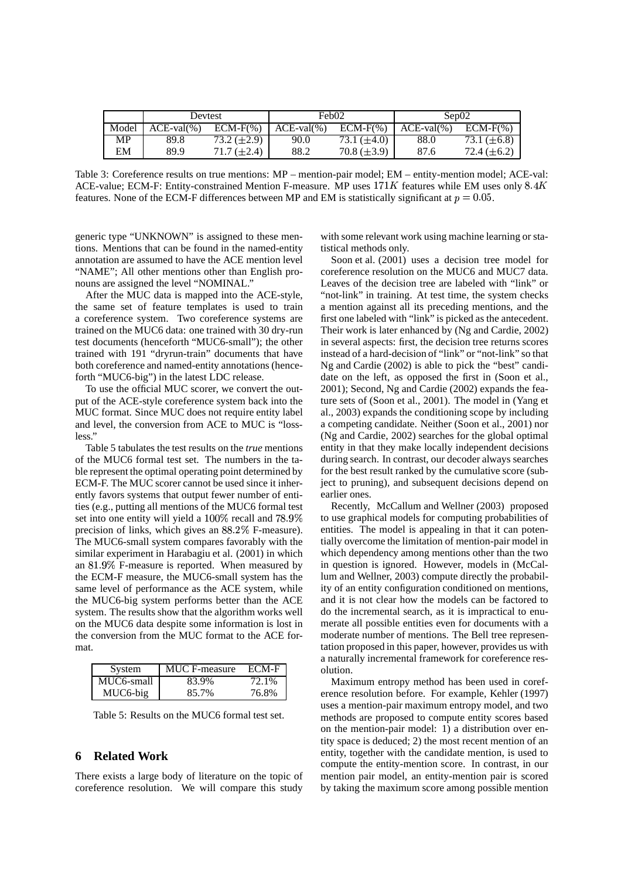|       | Devtest       |                    | Feb <sub>02</sub> |                  | Sep02      |                    |
|-------|---------------|--------------------|-------------------|------------------|------------|--------------------|
| Model | $ACE-val(% )$ | $ECM-F(% )$        | $ACE-value(% )$   | $ECM-F(%)$       | $ACE-val%$ | $ECM-F(%)$         |
| MP    | 89.8          | $73.2 (\pm 2.9)$   | 90.0              | 73.1 $(\pm 4.0)$ | 88.0       | 73.1 $(\pm 6.8)$   |
| EM    | 89.9          | $71.7 \ (\pm 2.4)$ | 88.2              | $70.8 (\pm 3.9)$ | 87.6       | $72.4 \ (\pm 6.2)$ |

Table 3: Coreference results on true mentions: MP – mention-pair model; EM – entity-mention model; ACE-val: ACE-value; ECM-F: Entity-constrained Mention F-measure. MP uses  $171K$  features while EM uses only  $8.4K$ features. None of the ECM-F differences between MP and EM is statistically significant at  $p = 0.05$ .

generic type "UNKNOWN" is assigned to these mentions. Mentions that can be found in the named-entity annotation are assumed to have the ACE mention level "NAME"; All other mentions other than English pronouns are assigned the level "NOMINAL."

After the MUC data is mapped into the ACE-style, the same set of feature templates is used to train a coreference system. Two coreference systems are trained on the MUC6 data: one trained with 30 dry-run test documents (henceforth "MUC6-small"); the other trained with 191 "dryrun-train" documents that have both coreference and named-entity annotations (henceforth "MUC6-big") in the latest LDC release.

To use the official MUC scorer, we convert the output of the ACE-style coreference system back into the MUC format. Since MUC does not require entity label and level, the conversion from ACE to MUC is "lossless."

Table 5 tabulates the test results on the *true* mentions of the MUC6 formal test set. The numbers in the table represent the optimal operating point determined by ECM-F. The MUC scorer cannot be used since it inherently favors systems that output fewer number of entities (e.g., putting all mentions of the MUC6 formal test set into one entity will yield a  $100\%$  recall and  $78.9\%$  to use grapl precision of links, which gives an  $88.2\%$  F-measure). The MUC6-small system compares favorably with the similar experiment in Harabagiu et al. (2001) in which an 81.9% F-measure is reported. When measured by the ECM-F measure, the MUC6-small system has the same level of performance as the ACE system, while the MUC6-big system performs better than the ACE system. The results show that the algorithm works well on the MUC6 data despite some information is lost in the conversion from the MUC format to the ACE format.

| System     | MUC F-measure | ECM-F |
|------------|---------------|-------|
| MUC6-small | 83.9%         | 72.1% |
| MUC6-big   | 85.7%         | 76.8% |

Table 5: Results on the MUC6 formal test set.

### **6 Related Work**

There exists a large body of literature on the topic of coreference resolution. We will compare this study

with some relevant work using machine learning or statistical methods only.

Soon et al. (2001) uses a decision tree model for coreference resolution on the MUC6 and MUC7 data. Leaves of the decision tree are labeled with "link" or "not-link" in training. At test time, the system checks a mention against all its preceding mentions, and the first one labeled with "link" is picked as the antecedent. Their work is later enhanced by (Ng and Cardie, 2002) in several aspects: first, the decision tree returns scores instead of a hard-decision of "link" or "not-link" so that Ng and Cardie (2002) is able to pick the "best" candidate on the left, as opposed the first in (Soon et al., 2001); Second, Ng and Cardie (2002) expands the feature sets of (Soon et al., 2001). The model in (Yang et al., 2003) expands the conditioning scope by including a competing candidate. Neither (Soon et al., 2001) nor (Ng and Cardie, 2002) searches for the global optimal entity in that they make locally independent decisions during search. In contrast, our decoder always searches for the best result ranked by the cumulative score (subject to pruning), and subsequent decisions depend on earlier ones.

Recently, McCallum and Wellner (2003) proposed to use graphical models for computing probabilities of entities. The model is appealing in that it can potentially overcome the limitation of mention-pair model in which dependency among mentions other than the two in question is ignored. However, models in (McCallum and Wellner, 2003) compute directly the probability of an entity configuration conditioned on mentions, and it is not clear how the models can be factored to do the incremental search, as it is impractical to enumerate all possible entities even for documents with a moderate number of mentions. The Bell tree representation proposed in this paper, however, provides us with a naturally incremental framework for coreference resolution.

Maximum entropy method has been used in coreference resolution before. For example, Kehler (1997) uses a mention-pair maximum entropy model, and two methods are proposed to compute entity scores based on the mention-pair model: 1) a distribution over entity space is deduced; 2) the most recent mention of an entity, together with the candidate mention, is used to compute the entity-mention score. In contrast, in our mention pair model, an entity-mention pair is scored by taking the maximum score among possible mention